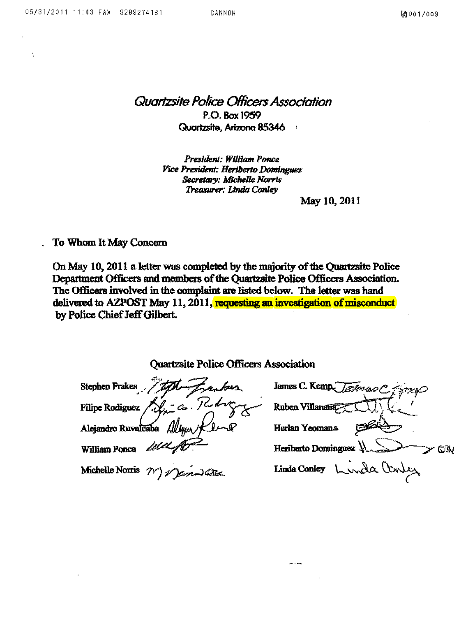*Quarlzsite Police OHicers Association*  P.O. Box 1959 Quartzsite. Arizona 85346

> *President: William Ponce Vice President: Heriberto Dominguez* Secretary: Michelle Norris *Treasurer: Linda Ctmley*

> > May 10,2011

To Whom It May Concern

On May 10, 2011 a lettcr was completed by the majority of the Quartzsite Police Department Officers and members of the Quartzsite Police Officers Association. The Officers involved in the complaint are listed below. The letter was hand delivered to AZPOST May 11, 2011, requesting an investigation of misconduct by Police Chief Jeff Gilbert.

| <b>Quartzsite Police Officers Association</b> |  |  |
|-----------------------------------------------|--|--|
|-----------------------------------------------|--|--|

Quartzsite Police Officers Assoc<br>Stephen Frakes *James* James وريص والانتقال =--:::ff:;;:~ William Ponce Heriberto Dominguez  $\lambda$ Y QIN Linda Conley Linda Conley Michelle Norris 7

- - --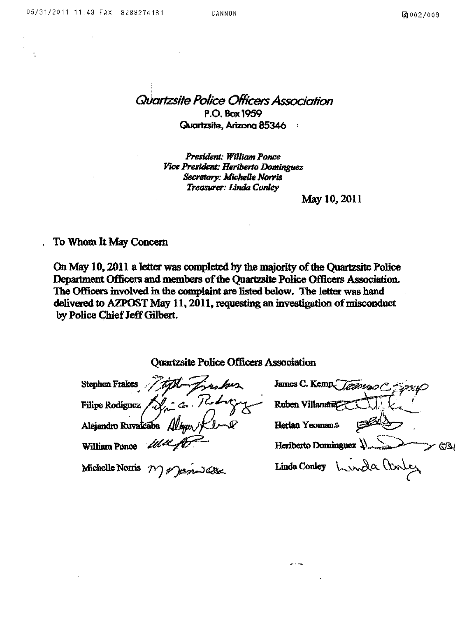Quartzsite Police Officers Association P.O. Box 1959 Quartzsite. Arizona 85346  $\mathbf{r}$ 

President: William Ponce Pice *President: Herlberlo Dominguez Secretmy: Michelle Norris*  Treasurer: Linda Conley

May 10,2011

To Whom It May Concern

On May 10, 2011 a Jetter was completed by the majority of the Quartzsite Police Department Officers and members of the Quartzsite Police Officers Association. The Officers involved in the complaint are listed below. The letter was hand delivered to AZPOST May 11,2011, requesting an investigation of misconduct by Police Chief Jeff Gilbert.

**Quartzsite Police Officers Association** 

**Stephen Frakes** James C. Kemp Ruben Villanatüz **Filipe Rodiguez** Herlan Yeomans Alejandro Ruvalcaba Heriberto Dominguez  $\sqrt{2}$   $\rightarrow$  C/3/ **William Ponce** Linda Conley Linda Conley Michelle Norris  $\gamma$ 

 $-1$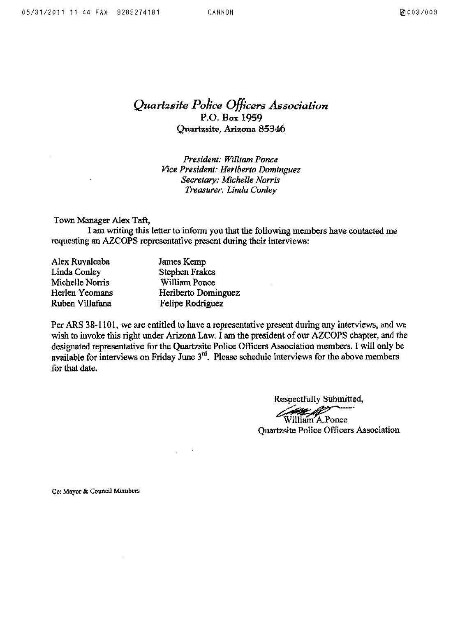*Quartzsite Police Officers Association*  P.o. Box 1959 Quartzsite, Arizona 85346

> *President: William Ponce Vice President: Heriberro Dominguez Secretary: Michelle Norris Treasurer: Linda Conley*

Town Manager Alex Taft,

I am writing this letter to inform you that the following members have contacted me requesting an AZCOPS representative present during their interviews:

| Alex Ruvalcaba  | James Kemp            |
|-----------------|-----------------------|
| Linda Conley    | <b>Stephen Frakes</b> |
| Michelle Norris | William Ponce         |
| Herlen Yeomans  | Heriberto Dominguez   |
| Ruben Villafana | Felipe Rodriguez      |

 $\mathcal{L}_{\mathcal{A}}$ 

Per ARS 38-1101, we are entitled to have a representative present during any interviews, and we wish to invoke this right under Arizona Law. I am the president of our AZCOPS chapter, and the designated representative for the Quartzsite Police Officers Association members. I will only be available for interviews on Friday June  $3<sup>rd</sup>$ . Please schedule interviews for the above members for that date.

Respectfully Submitted,

William A.Ponce Quartzsite Police Officers Association

Co: Mayor & Council Members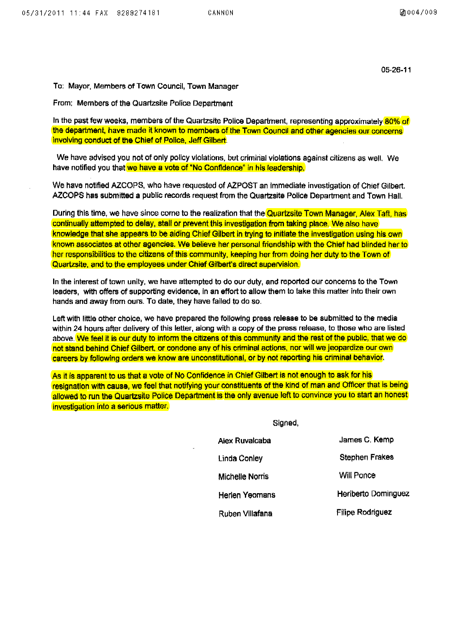*05·26·11* 

To: Mayor, Members of Town Council, Town Manager

From: Members of the Quartzsite Police Department

In the past few weeKs, members of the QuartzSite Police Department, representing approximately *80%* of the department, have made it known to members of the Town Council and other agencies our concerns involving conduct of the Chief of Police, Jeff Gilbert.

We have advised you not of only polley violations, but criminal violations against citizens as well. We have notified you that we have a vote of "No Confidence" in his leadership.

We have notified AZCOPS, who have requested of AZPOST an Immediate investigation of Chief Gilbert. AZCOPS has submitted a public records request from the Quartzsite Pollee Department and Town Hall.

During this time, we have since come to the realization that the Quartzsite Town Manager, Alex Taft, has continually attempted to delay, stall or prevent this investigation from taking place. We also have knowledge that she appears to be aiding Chief Gilbert in trying to initiate the investigation using his own known associates at other agencies. We believe her personal friendship with the Chief had blinded her to her responsibilities to the citizens of this community, keeping her from doing her duty to the Town of Quartzsite, and to the employees under Chief Gilbert's direct supervision.

In the interest of town unity, we have attempted to do our duty, and reported our concerns to the Town leaders, with offers of supporting evidence, In an effort to allow them to take this matter into their own hands and away from ours. To date, they have failed to do so.

Left with little other choice, we have prepared the following press release to be submitted to the media within 24 hours after delivery of this letter, along with a copy of the press release, to those who are listed above. We feel it is our duty to inform the citizens of this community and the rest of the public, that we do not stand behind Chief Gilbert, or condone any of his criminal actions, nor will we jeopardize our own careers by following orders we know are unconstitutional, or by not reporting his criminal behavior.

As it is apparent to us that a vote of No Confidence in Chief Gilbert is not enough to ask for his resignation with cause, we feel that notifying your constituents of the kind of man and Officer that is being allowed to run the Quartzsite Police Department is the only avenue left to convince you to start an honest investigation into a serious matter.

Signed,

| James C. Kemp           |
|-------------------------|
| <b>Stephen Frakes</b>   |
| Will Ponce              |
| Heriberto Dominguez     |
| <b>Filipe Rodriguez</b> |
|                         |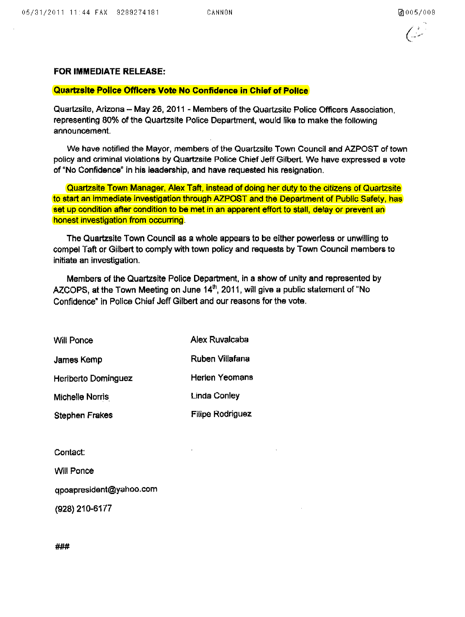## **FOR IMMEDIATE RELEASE:**

## **Quartzsite Pollee Officers Vote No Confidence in Chief of Pollee**

Quartzsite, Arizona - May 26, 2011 - Members of the Quartzsite Police Officers Association, representing 80% of the Quartzsite Police Department, would like to make the following announcement.

We have notified the Mayor, members of the Quartzsite Town Council and AZPOST of town policy and criminal violations by Quartzsite Police Chief Jeff Gilbert. We have expressed a vote of "No Confidence" in his leadership, and have requested his resignation.

Quartzsite Town Manager, Alex Taft, instead of doing her duty to the citizens of Quartzsite to start an immediate investigation through AZPOST and the Department of Public Safety, has set up condition after condition to be met in an apparent effort to stall, delay or prevent an honest investigation from occurring.

The Quartzsite Town Council as a whole appears to be either powerless or unwilling to compel Taft or Gilbert to comply with town policy and requests by Town Council members to initiate an investigation.

Members of the Quartzsite Police Department, in a show of unity and represented by AZCOPS, at the Town Meeting on June  $14<sup>th</sup>$ , 2011, will give a public statement of "No Confidence" in Police Chief Jeff Gilbert and our reasons for the vote.

| Will Ponce                 | Alex Ruvalcaba          |
|----------------------------|-------------------------|
| James Kemp                 | Ruben Villafana         |
| <b>Heriberto Dominguez</b> | Herien Yeomans          |
| Michelle Norris            | <b>Linda Conley</b>     |
| <b>Stephen Frakes</b>      | <b>Filipe Rodriguez</b> |

Contact:

Will Ponce

qpoapresident@yahoo.com

(928) 210-6177

###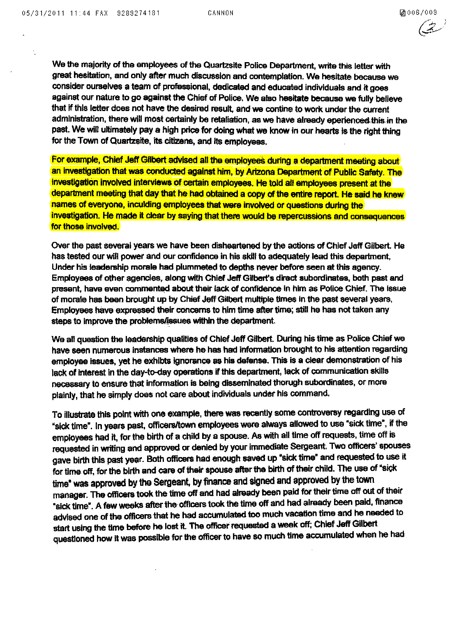$\star$ 

 $(2)$ 

We the majority of the employees of the Quartzsite Police Department, write this letter with great hesitation, and only after much discussion and contemplation. We hesitate because we consider ourselves a team of professional, dedicated and educated individuals and it goes against our nature to go against the Chief of Police, We also hesitate because we fully believe that if this letter does not have the desired result, and we contine to work under the current administration, there will most certainly be retaliation, as we have already eperienced this in the past. We will ultimately pay a high price for doing what we know in our hearts is the right thing for the Town of Quartzsite, its citizens, and its employees.

For example, Chief Jeff Gilbert advised all the employees during a department meeting about an investigation that was conducted against him, by Arizona Department of Public Safety. The investigation involved interviews of certain employees. He told all employees present at the department meeting that day that he had obtained a copy of the entire report. He said he knew names of everyone, inculding employees that were involved or questions during the investigation. He made it clear by saying that there would be repercussions and consequences for those involved.

Over the past several years we have been disheartened by the actions of Chief Jeff Gilbert. He has tested our will power and our confidence in his skill to adequately lead this department, Under his leadership morale had plummeted to depths never before seen at this agency. Employees of other agencies, along with Chief Jeff Gilbert's direct subordinates, both past and prasent, have even commented about their lack of confidence In him as Police Chief. The Issue of morale has been brought up by Chief Jeff Gilbert multiple times in the past several years, Employees have expressed their concerns to him time after time; still he has not taken any steps to improve the problems/issues within the department.

We all question the leadership qualities of Chief Jeff Gilbert. During his time as Police Chief we have seen numeroua inatances where he has had information brought to his attention regarding employee issues, yet he exhibts ignorance as his defense. This is a clear demonstration of his lack of interest in the day-to-day operations if this department, lack of communication skills necessary to ensure that information is being disseminated thorugh subordinates, or mora plainly, that he simply does not care about individuals under his command.

To illustrate this point with one example, there was recently some controversy regarding use of "sick time". In years past, officers/town employees were always allowed to use "sick time", if the employees had it, for the birth of a Child by a spouse. As with all time off requests, time off is requested in writing and approved or denied by your immediate Sergeant. Two officers' spouses gave birth this past year. Both officers had enough saved up "sick time" and requested to use it for time off, for the birth and care of their spouse after the birth of their child. The use of "sick time" was approved by the Sergeant, by finance and signed and approved by the town manager. The officers took the time off and had already been paid for their time off out of their ·slel< time·. A few weekS after the officers took the time off and hadalraady been paid, finance advised one of the officers that he had accumulated too much vacation time and he needed to start using the time before he lost it. The officer requested a week off; Chief Jeff Gilbert questioned how it was possible for the officer to have so much time accumulated when he had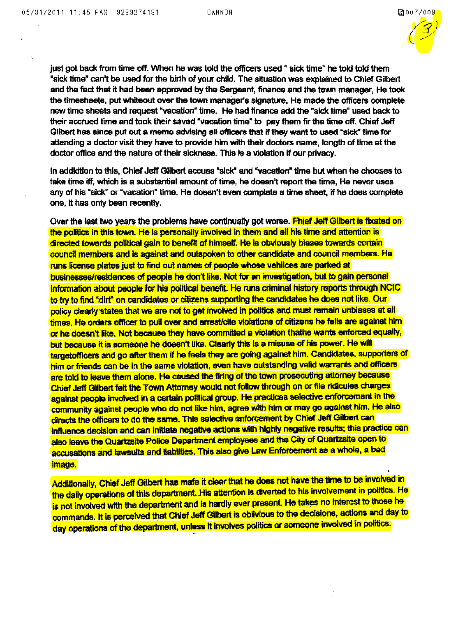$\mathbf{r}$ 



just got back from time off. When he was told the officers used " sick time" he told told them ·sick time" can't be used for the birth of your child. The situation was explained to Chief Gilbert and the fact that it had been approved by the Sergeant, finance and the town manager, He took the timesheets, put whiteout over the town manager's signature, He made the officers complete new time sheets and request "vacation" time. He had finance add the "sick time" used back to their accrued time and took their saved "vacation time" to pay them fir the time off. Chief Jeff Gilbert has since put out a memo advising all officers that if they want to used "sick" time for attending a doctor visit they have to provide him with their doctors name, length of time at the doctor office and the nature of their sickness. This is a violation if our privacy.

In addidtion to this, Chief Jeff Gilbert accues "sick" and "vacation" time but when he chooses to take time iff, which is a substantial amount of time, he doesn't report the time, He never uses any of his "sick" or "vacation" time. He doesn't even complete a time sheet, if he does complete one, It has only been recently.

Over the last two years the problems have continually got worse. **Fhief Jeff Gilbert is fixated on** the politics in this town. He is personally involved in them and all his time and attention is directed towards political gain to benefit of himself. He is obviously biases towards certain council members and is against and outspoken to other candidate and council members. He runs license plates just to find out names of people whose vehllces are parked at businesses/residences of people he don't like. Not for an investigation, but to gain personal information about people for his political benefit. He runs criminal history reports through NCIC to try to find "dirt" on candidates or citizens supporting the candidates he does not like. Our policy clearly states that we are not to get involved in politics and must remain unbiases at all times. He orders officer to pull over and arrest/cite violations of citizens he fells are against him or he doesn't like. Nat because they have committed a violation thathe wants enforced equally, but because it is someone he doesn't like. Clearly this is a misuse of his power. He will targetofficers and go after them if he feels they are going against him. Candidates, supporters of him or friends can be in the same violation, even have outstanding valid warrants and officers are told to leave them alone. He caused the firing of the town prosecuting attorney because Chief Jeff Gilbert felt the Town Attorney would not foHow through on or file ridicules charges against people involved in a certain political group. He practices selective enforcement in the community against people who do not like him, agree with him or may go against him. He also directs the officers to do the same. This selective enforcement by Chief Jeff Gilbert can influence decision and can initiate negative actions with highly negative results; this practice can also leave the Quartzsite Police Department employees and the City of Quartzsite open to accusations and lawsuits and liablities. This also give Law Enforcement as a whole, a bad Image.

Additionally, Chief Jeff Gilbert has mafe it clear that he does not have the time to be involved in the daily operations of this department. His attention is diverted to his involvement in politics. He is not involved with the department and is hardly ever present. He takes no interest to those he commands. It is perceived that Chief Jeff Gilbert is oblivious to the decisions, actions and day to day operations of the department, unless it involves politics or someone involved in politics.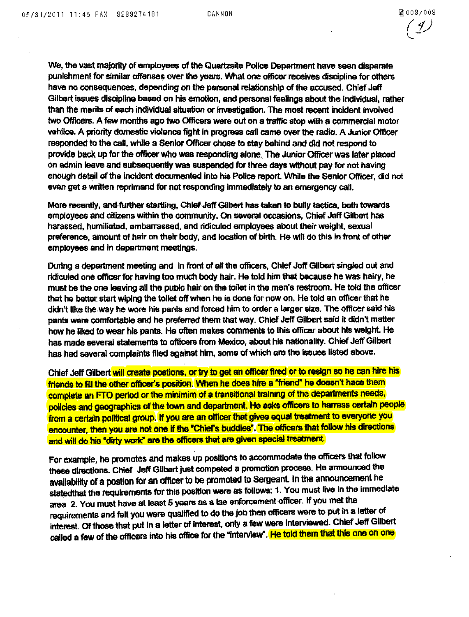We, the vast majority of amployees of the Quartzsite Police Department have seen disparate punishment for similar offenses over the years. What one officer receives discipline for others have no consequences, depending on the personal relationship of the accused. Chief Jeff Gilbert issues discipline based on his emotion, and personal feelings about the individual, rather than the merits of each individual situation or Investigation. The most recent incident Involved two Officers. A few months ago two Officers were out on a traffic stop with a commercial motor vehilce. A priority domestic violence fight in progress call came over the radio. A Junior Officer responded to the call, while a Senior Officer chose to stay behind and did not respond to provide back up for the officer who was responding alone .. The Junior Officer was later placed on admin leave and subsequently was suspended for three days without pay for not having enough detail of the incident documented into his Police report. While the Senior Officer, did not even get a written reprimand for not responding immediately to an emergency call.

More recently, andfuFlher startling, Chief Jeff Gilbert has taken *ta* bully tactics, both towartls employees and citizens within the community. On several occasions, Chief Jeff Gilbert has harassed, humiliated, embarrassed. and ridiculed employees about their weight, sexual preference, amount of hair on their body, and location of birth. He Will do this in front of other employees and in department meetings.

During a department meeting and in front of all the officers, Chief Jeff Gilbert singled out and ridiculed one officer for having too much body hair. He told him that because he was hairy, he must be the one leaving all the pubic hair on the toilet in the men's restroom. He told the officer that he better. start Wiping the toilet off when he is done for now on. He told an officer that he didn't like the way he wore his pants and forced him to order a larger size. The officer said his pants were comfortable and he preferred them that way. Chief Jeff Gilbert said it didn't matter how he liked to wear his pants. He often makes comments to this officer about his weight. He has made several statements to officers from Mexico, about his nationality. Chief Jeff Gilbert has had several complaints filed against him, some of which are the issues listed above.

Chief Jeff Gilbert will create postions, or try to get an officer fired or to resign so he can hire his friends to fill the other officer's position. When he does hire a "friend" he doesn't hace them complete an FTO period or the minimim of a transitional training of the departments needs, policies and geographics of the town and department. He asks officers to harrass certain people from a certain political group. If you are an officer that gives equal treatment to everyone you encounter, then you are not one if the "Chief's buddies". The officers that follow his directions and will do his "dirty work" are the officers that are given special treatment.

For example, he promotes and makes up positions to accommodate the officers that follow these directions. Chief Jeff Gilbert just competed a promotion process. He announced the availability of a postion for an officer to be promoted to Sergeant. In the announcement he statedthat the requirements for this position were as follows: 1. You must live in the immediate area 2. You must have at least 5 years as a lae enforcement officer. If you met the requirements and felt you were qualified to do the job then officers were to put in a letter of interest. Of those that put in a letter of interest, only a few were interviewed. Chief Jeff Gilbert called a few of the officers into his office for the "interview". He told them that this one on one